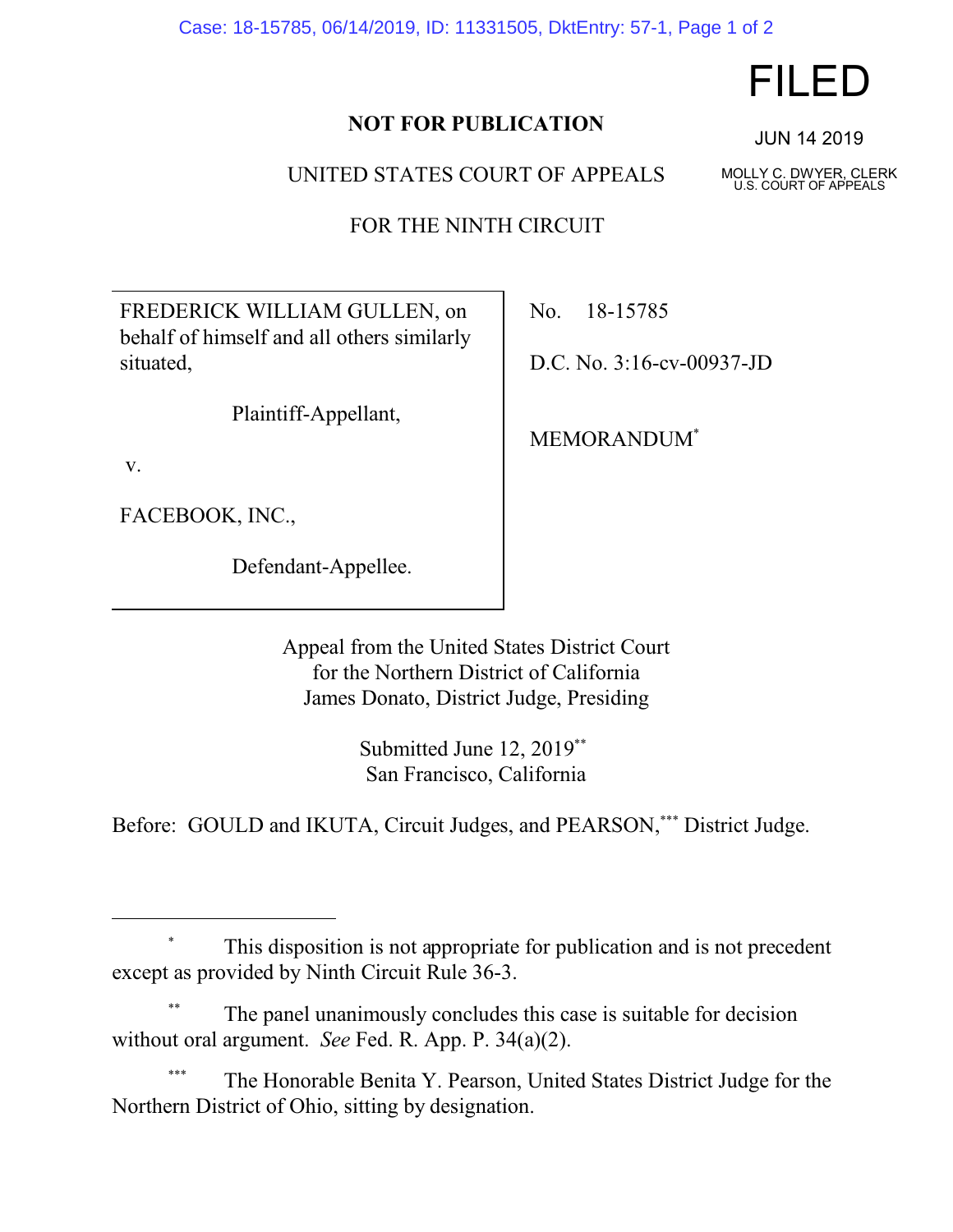Case: 18-15785, 06/14/2019, ID: 11331505, DktEntry: 57-1, Page 1 of 2

## **NOT FOR PUBLICATION**

UNITED STATES COURT OF APPEALS

FOR THE NINTH CIRCUIT

FREDERICK WILLIAM GULLEN, on behalf of himself and all others similarly situated,

Plaintiff-Appellant,

v.

FACEBOOK, INC.,

Defendant-Appellee.

No. 18-15785

D.C. No. 3:16-cv-00937-JD

MEMORANDUM\*

Appeal from the United States District Court for the Northern District of California James Donato, District Judge, Presiding

> Submitted June 12, 2019\*\* San Francisco, California

Before: GOULD and IKUTA, Circuit Judges, and PEARSON,\*\*\* District Judge.

The Honorable Benita Y. Pearson, United States District Judge for the Northern District of Ohio, sitting by designation.

## FILED

JUN 14 2019

MOLLY C. DWYER, CLERK U.S. COURT OF APPEALS

This disposition is not appropriate for publication and is not precedent except as provided by Ninth Circuit Rule 36-3.

The panel unanimously concludes this case is suitable for decision without oral argument. *See* Fed. R. App. P. 34(a)(2).